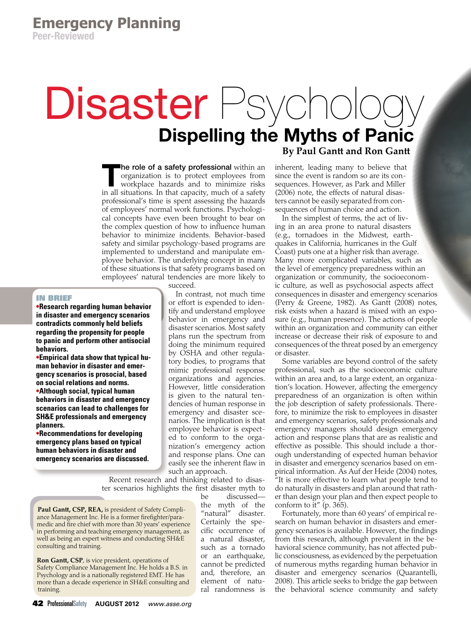# Disaster Psycholog Dispelling the Myths of Panic

The role of a safety professional within an organization is to protect employees from workplace hazards and to minimize risks in all situations. In that capacity, much of a safety professional's time is spent assessing the hazards of employees' normal work functions. Psychological concepts have even been brought to bear on the complex question of how to influence human behavior to minimize incidents. Behavior-based safety and similar psychology-based programs are implemented to understand and manipulate employee behavior. The underlying concept in many of these situations is that safety programs based on employees' natural tendencies are more likely to

# IN BRIEF

**•Research regarding human behavior in disaster and emergency scenarios contradicts commonly held beliefs regarding the propensity for people to panic and perform other antisocial behaviors.** 

**•Empirical data show that typical human behavior in disaster and emergency scenarios is prosocial, based on social relations and norms. •Although social, typical human behaviors in disaster and emergency scenarios can lead to challenges for** 

**SH&E professionals and emergency planners. •Recommendations for developing** 

**emergency plans based on typical human behaviors in disaster and emergency scenarios are discussed.**  succeed.

In contrast, not much time or effort is expended to identify and understand employee behavior in emergency and disaster scenarios. Most safety plans run the spectrum from doing the minimum required by OSHA and other regulatory bodies, to programs that mimic professional response organizations and agencies. However, little consideration is given to the natural tendencies of human response in emergency and disaster scenarios. The implication is that employee behavior is expected to conform to the organization's emergency action and response plans. One can easily see the inherent flaw in such an approach.

Recent research and thinking related to disaster scenarios highlights the first disaster myth to

**Paul Gantt, CSP, REA,** is president of Safety Compliance Management Inc. He is a former firefighter/paramedic and fire chief with more than 30 years' experience in performing and teaching emergency management, as well as being an expert witness and conducting SH&E consulting and training.

**Ron Gantt, CSP**, is vice president, operations of Safety Compliance Management Inc. He holds a B.S. in Psychology and is a nationally registered EMT. He has more than a decade experience in SH&E consulting and training.

be discussed the myth of the "natural" disaster. Certainly the specific occurrence of a natural disaster, such as a tornado or an earthquake, cannot be predicted and, therefore, an element of natural randomness is **By Paul Gantt and Ron Gantt**

inherent, leading many to believe that since the event is random so are its consequences. However, as Park and Miller (2006) note, the effects of natural disasters cannot be easily separated from consequences of human choice and action.

In the simplest of terms, the act of living in an area prone to natural disasters (e.g., tornadoes in the Midwest, earthquakes in California, hurricanes in the Gulf Coast) puts one at a higher risk than average. Many more complicated variables, such as the level of emergency preparedness within an organization or community, the socioeconomic culture, as well as psychosocial aspects affect consequences in disaster and emergency scenarios (Perry & Greene, 1982). As Gantt (2008) notes, risk exists when a hazard is mixed with an exposure (e.g., human presence). The actions of people within an organization and community can either increase or decrease their risk of exposure to and consequences of the threat posed by an emergency or disaster.

Some variables are beyond control of the safety professional, such as the socioeconomic culture within an area and, to a large extent, an organization's location. However, affecting the emergency preparedness of an organization is often within the job description of safety professionals. Therefore, to minimize the risk to employees in disaster and emergency scenarios, safety professionals and emergency managers should design emergency action and response plans that are as realistic and effective as possible. This should include a thorough understanding of expected human behavior in disaster and emergency scenarios based on empirical information. As Auf der Heide (2004) notes, <sup>"</sup>It is more effective to learn what people tend to do naturally in disasters and plan around that rather than design your plan and then expect people to conform to it" (p. 365).

Fortunately, more than 60 years' of empirical research on human behavior in disasters and emergency scenarios is available. However, the findings from this research, although prevalent in the behavioral science community, has not affected public consciousness, as evidenced by the perpetuation of numerous myths regarding human behavior in disaster and emergency scenarios (Quarantelli, 2008). This article seeks to bridge the gap between the behavioral science community and safety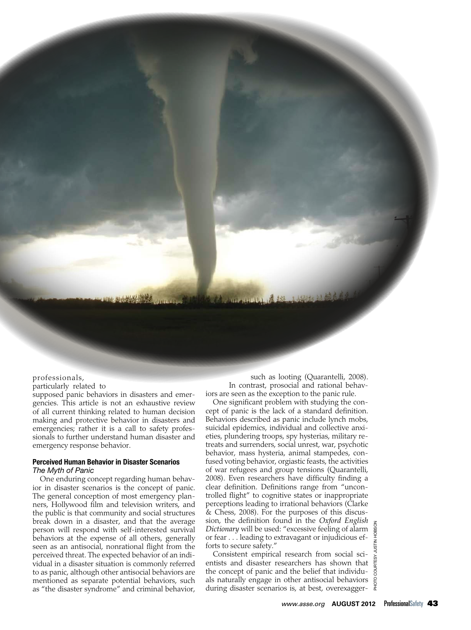### professionals,

particularly related to

supposed panic behaviors in disasters and emergencies. This article is not an exhaustive review of all current thinking related to human decision making and protective behavior in disasters and emergencies; rather it is a call to safety professionals to further understand human disaster and emergency response behavior.

**Intro** Day

# Perceived Human Behavior in Disaster Scenarios *The Myth of Panic*

One enduring concept regarding human behavior in disaster scenarios is the concept of panic. The general conception of most emergency planners, Hollywood film and television writers, and the public is that community and social structures break down in a disaster, and that the average person will respond with self-interested survival behaviors at the expense of all others, generally seen as an antisocial, nonrational flight from the perceived threat. The expected behavior of an individual in a disaster situation is commonly referred to as panic, although other antisocial behaviors are mentioned as separate potential behaviors, such as "the disaster syndrome" and criminal behavior,

such as looting (Quarantelli, 2008). In contrast, prosocial and rational behaviors are seen as the exception to the panic rule.

One significant problem with studying the concept of panic is the lack of a standard definition. Behaviors described as panic include lynch mobs, suicidal epidemics, individual and collective anxieties, plundering troops, spy hysterias, military retreats and surrenders, social unrest, war, psychotic behavior, mass hysteria, animal stampedes, confused voting behavior, orgiastic feasts, the activities of war refugees and group tensions (Quarantelli, 2008). Even researchers have difficulty finding a clear definition. Definitions range from "uncontrolled flight" to cognitive states or inappropriate perceptions leading to irrational behaviors (Clarke & Chess, 2008). For the purposes of this discussion, the definition found in the *Oxford English Dictionary* will be used: "excessive feeling of alarm or fear . . . leading to extravagant or injudicious efforts to secure safety."

Consistent empirical research from social scientists and disaster researchers has shown that the concept of panic and the belief that individuals naturally engage in other antisocial behaviors during disaster scenarios is, at best, overexagger-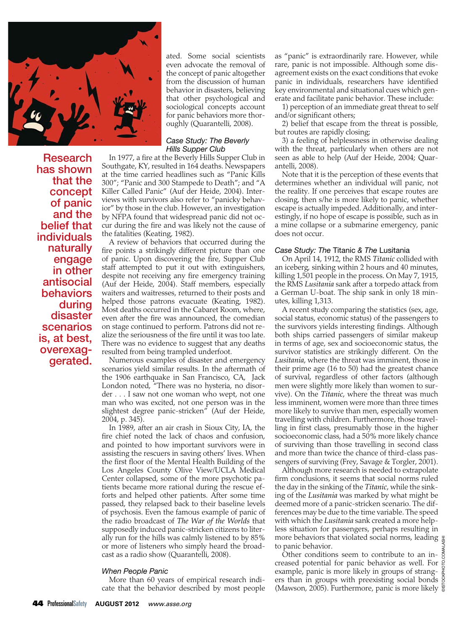

ated. Some social scientists even advocate the removal of the concept of panic altogether from the discussion of human behavior in disasters, believing that other psychological and sociological concepts account for panic behaviors more thoroughly (Quarantelli, 2008).

# *Case Study: The Beverly Hills Supper Club*

Research has shown that the concept of panic and the belief that individuals naturally engage in other antisocial behaviors during disaster scenarios is, at best, overexag- gerated.

In 1977, a fire at the Beverly Hills Supper Club in Southgate, KY, resulted in 164 deaths. Newspapers at the time carried headlines such as "Panic Kills 300"; "Panic and 300 Stampede to Death"; and "A Killer Called Panic" (Auf der Heide, 2004). Interviews with survivors also refer to "panicky behavior" by those in the club. However, an investigation by NFPA found that widespread panic did not occur during the fire and was likely not the cause of the fatalities (Keating, 1982).

A review of behaviors that occurred during the fire points a strikingly different picture than one of panic. Upon discovering the fire, Supper Club staff attempted to put it out with extinguishers, despite not receiving any fire emergency training (Auf der Heide, 2004). Staff members, especially waiters and waitresses, returned to their posts and helped those patrons evacuate (Keating, 1982). Most deaths occurred in the Cabaret Room, where, even after the fire was announced, the comedian on stage continued to perform. Patrons did not realize the seriousness of the fire until it was too late. There was no evidence to suggest that any deaths resulted from being trampled underfoot.

Numerous examples of disaster and emergency scenarios yield similar results. In the aftermath of the 1906 earthquake in San Francisco, CA, Jack London noted, "There was no hysteria, no disorder . . . I saw not one woman who wept, not one man who was excited, not one person was in the slightest degree panic-stricken" (Auf der Heide, 2004, p. 345).

In 1989, after an air crash in Sioux City, IA, the fire chief noted the lack of chaos and confusion, and pointed to how important survivors were in assisting the rescuers in saving others' lives. When the first floor of the Mental Health Building of the Los Angeles County Olive View/UCLA Medical Center collapsed, some of the more psychotic patients became more rational during the rescue efforts and helped other patients. After some time passed, they relapsed back to their baseline levels of psychosis. Even the famous example of panic of the radio broadcast of *The War of the Worlds* that supposedly induced panic-stricken citizens to literally run for the hills was calmly listened to by 85% or more of listeners who simply heard the broadcast as a radio show (Quarantelli, 2008).

## *When People Panic*

More than 60 years of empirical research indicate that the behavior described by most people as "panic" is extraordinarily rare. However, while rare, panic is not impossible. Although some disagreement exists on the exact conditions that evoke panic in individuals, researchers have identified key environmental and situational cues which generate and facilitate panic behavior. These include:

1) perception of an immediate great threat to self and/or significant others;

2) belief that escape from the threat is possible, but routes are rapidly closing;

3) a feeling of helplessness in otherwise dealing with the threat, particularly when others are not seen as able to help (Auf der Heide, 2004; Quarantelli, 2008).

Note that it is the perception of these events that determines whether an individual will panic, not the reality. If one perceives that escape routes are closing, then s/he is more likely to panic, whether escape is actually impeded. Additionally, and interestingly, if no hope of escape is possible, such as in a mine collapse or a submarine emergency, panic does not occur.

# *Case Study: The* Titanic *& The* Lusitania

On April 14, 1912, the RMS *Titanic* collided with an iceberg, sinking within 2 hours and 40 minutes, killing 1,501 people in the process. On May 7, 1915, the RMS *Lusitania* sank after a torpedo attack from a German U-boat. The ship sank in only 18 minutes, killing 1,313.

A recent study comparing the statistics (sex, age, social status, economic status) of the passengers to the survivors yields interesting findings. Although both ships carried passengers of similar makeup in terms of age, sex and socioeconomic status, the survivor statistics are strikingly different. On the *Lusitania*, where the threat was imminent, those in their prime age (16 to 50) had the greatest chance of survival, regardless of other factors (although men were slightly more likely than women to survive). On the *Titanic*, where the threat was much less imminent, women were more than three times more likely to survive than men, especially women travelling with children. Furthermore, those travelling in first class, presumably those in the higher socioeconomic class, had a 50% more likely chance of surviving than those travelling in second class and more than twice the chance of third-class passengers of surviving (Frey, Savage & Torgler, 2001).

Although more research is needed to extrapolate firm conclusions, it seems that social norms ruled the day in the sinking of the *Titanic*, while the sinking of the *Lusitania* was marked by what might be deemed more of a panic-stricken scenario. The differences may be due to the time variable. The speed with which the *Lusitania* sank created a more helpless situation for passengers, perhaps resulting in more behaviors that violated social norms, leading to panic behavior.

Other conditions seem to contribute to an increased potential for panic behavior as well. For example, panic is more likely in groups of strangers than in groups with preexisting social bonds (Mawson, 2005). Furthermore, panic is more likely  $\frac{5}{6}$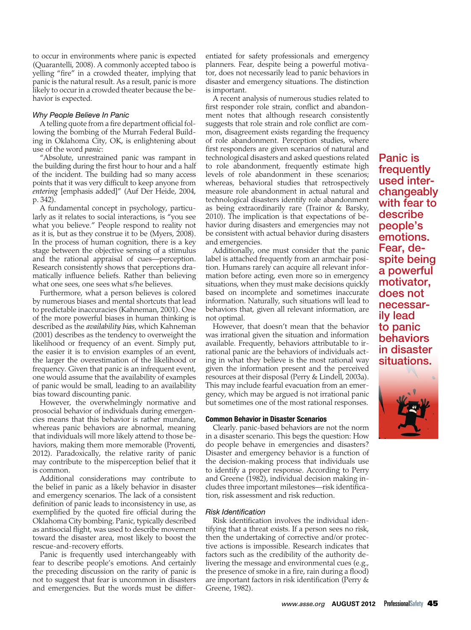to occur in environments where panic is expected (Quarantelli, 2008). A commonly accepted taboo is yelling "fire" in a crowded theater, implying that panic is the natural result. As a result, panic is more likely to occur in a crowded theater because the behavior is expected.

## *Why People Believe In Panic*

A telling quote from a fire department official following the bombing of the Murrah Federal Building in Oklahoma City, OK, is enlightening about use of the word *panic*:

"Absolute, unrestrained panic was rampant in the building during the first hour to hour and a half of the incident. The building had so many access points that it was very difficult to keep anyone from *entering* [emphasis added]" (Auf Der Heide, 2004, p. 342).

A fundamental concept in psychology, particularly as it relates to social interactions, is "you see what you believe." People respond to reality not as it is, but as they construe it to be (Myers, 2008). In the process of human cognition, there is a key stage between the objective sensing of a stimulus and the rational appraisal of cues—perception. Research consistently shows that perceptions dramatically influence beliefs. Rather than believing what one sees, one sees what s/he believes.

Furthermore, what a person believes is colored by numerous biases and mental shortcuts that lead to predictable inaccuracies (Kahneman, 2001). One of the more powerful biases in human thinking is described as the *availability bias*, which Kahneman (2001) describes as the tendency to overweight the likelihood or frequency of an event. Simply put, the easier it is to envision examples of an event, the larger the overestimation of the likelihood or frequency. Given that panic is an infrequent event, one would assume that the availability of examples of panic would be small, leading to an availability bias toward discounting panic.

However, the overwhelmingly normative and prosocial behavior of individuals during emergencies means that this behavior is rather mundane, whereas panic behaviors are abnormal, meaning that individuals will more likely attend to those behaviors, making them more memorable (Proventi, 2012). Paradoxically, the relative rarity of panic may contribute to the misperception belief that it is common.

Additional considerations may contribute to the belief in panic as a likely behavior in disaster and emergency scenarios. The lack of a consistent definition of panic leads to inconsistency in use, as exemplified by the quoted fire official during the Oklahoma City bombing. Panic, typically described as antisocial flight, was used to describe movement toward the disaster area, most likely to boost the rescue-and-recovery efforts.

Panic is frequently used interchangeably with fear to describe people's emotions. And certainly the preceding discussion on the rarity of panic is not to suggest that fear is uncommon in disasters and emergencies. But the words must be differentiated for safety professionals and emergency planners. Fear, despite being a powerful motivator, does not necessarily lead to panic behaviors in disaster and emergency situations. The distinction is important.

A recent analysis of numerous studies related to first responder role strain, conflict and abandonment notes that although research consistently suggests that role strain and role conflict are common, disagreement exists regarding the frequency of role abandonment. Perception studies, where first responders are given scenarios of natural and technological disasters and asked questions related to role abandonment, frequently estimate high levels of role abandonment in these scenarios; whereas, behavioral studies that retrospectively measure role abandonment in actual natural and technological disasters identify role abandonment as being extraordinarily rare (Trainor & Barsky, 2010). The implication is that expectations of behavior during disasters and emergencies may not be consistent with actual behavior during disasters and emergencies.

Additionally, one must consider that the panic label is attached frequently from an armchair position. Humans rarely can acquire all relevant information before acting, even more so in emergency situations, when they must make decisions quickly based on incomplete and sometimes inaccurate information. Naturally, such situations will lead to behaviors that, given all relevant information, are not optimal.

However, that doesn't mean that the behavior was irrational given the situation and information available. Frequently, behaviors attributable to irrational panic are the behaviors of individuals acting in what they believe is the most rational way given the information present and the perceived resources at their disposal (Perry & Lindell, 2003a). This may include fearful evacuation from an emergency, which may be argued is not irrational panic but sometimes one of the most rational responses.

# Common Behavior in Disaster Scenarios

Clearly. panic-based behaviors are not the norm in a disaster scenario. This begs the question: How do people behave in emergencies and disasters? Disaster and emergency behavior is a function of the decision-making process that individuals use to identify a proper response. According to Perry and Greene (1982), individual decision making includes three important milestones—risk identification, risk assessment and risk reduction.

# *Risk Identification*

Risk identification involves the individual identifying that a threat exists. If a person sees no risk, then the undertaking of corrective and/or protective actions is impossible. Research indicates that factors such as the credibility of the authority delivering the message and environmental cues (e.g., the presence of smoke in a fire, rain during a flood) are important factors in risk identification (Perry & Greene, 1982).

Panic is frequently used inter- changeably with fear to describe people's emotions. Fear, de-<br>spite being a powerful motivator, does not necessar- ily lead to panic behaviors in disaster situations.

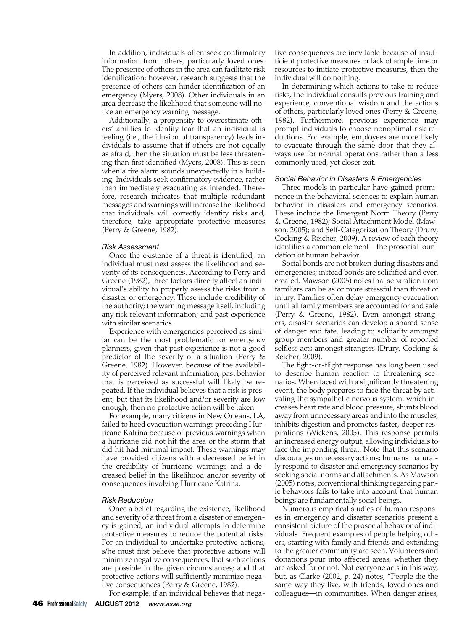In addition, individuals often seek confirmatory information from others, particularly loved ones. The presence of others in the area can facilitate risk identification; however, research suggests that the presence of others can hinder identification of an emergency (Myers, 2008). Other individuals in an area decrease the likelihood that someone will notice an emergency warning message.

Additionally, a propensity to overestimate others' abilities to identify fear that an individual is feeling (i.e., the illusion of transparency) leads individuals to assume that if others are not equally as afraid, then the situation must be less threatening than first identified (Myers, 2008). This is seen when a fire alarm sounds unexpectedly in a building. Individuals seek confirmatory evidence, rather than immediately evacuating as intended. Therefore, research indicates that multiple redundant messages and warnings will increase the likelihood that individuals will correctly identify risks and, therefore, take appropriate protective measures (Perry & Greene, 1982).

# *Risk Assessment*

Once the existence of a threat is identified, an individual must next assess the likelihood and severity of its consequences. According to Perry and Greene (1982), three factors directly affect an individual's ability to properly assess the risks from a disaster or emergency. These include credibility of the authority; the warning message itself, including any risk relevant information; and past experience with similar scenarios.

Experience with emergencies perceived as similar can be the most problematic for emergency planners, given that past experience is not a good predictor of the severity of a situation (Perry & Greene, 1982). However, because of the availability of perceived relevant information, past behavior that is perceived as successful will likely be repeated. If the individual believes that a risk is present, but that its likelihood and/or severity are low enough, then no protective action will be taken.

For example, many citizens in New Orleans, LA, failed to heed evacuation warnings preceding Hurricane Katrina because of previous warnings when a hurricane did not hit the area or the storm that did hit had minimal impact. These warnings may have provided citizens with a decreased belief in the credibility of hurricane warnings and a decreased belief in the likelihood and/or severity of consequences involving Hurricane Katrina.

## *Risk Reduction*

Once a belief regarding the existence, likelihood and severity of a threat from a disaster or emergency is gained, an individual attempts to determine protective measures to reduce the potential risks. For an individual to undertake protective actions, s/he must first believe that protective actions will minimize negative consequences; that such actions are possible in the given circumstances; and that protective actions will sufficiently minimize negative consequences (Perry & Greene, 1982).

For example, if an individual believes that nega-

tive consequences are inevitable because of insufficient protective measures or lack of ample time or resources to initiate protective measures, then the individual will do nothing.

In determining which actions to take to reduce risks, the individual consults previous training and experience, conventional wisdom and the actions of others, particularly loved ones (Perry & Greene, 1982). Furthermore, previous experience may prompt individuals to choose nonoptimal risk reductions. For example, employees are more likely to evacuate through the same door that they always use for normal operations rather than a less commonly used, yet closer exit.

#### *Social Behavior in Disasters & Emergencies*

Three models in particular have gained prominence in the behavioral sciences to explain human behavior in disasters and emergency scenarios. These include the Emergent Norm Theory (Perry & Greene, 1982); Social Attachment Model (Mawson, 2005); and Self-Categorization Theory (Drury, Cocking & Reicher, 2009). A review of each theory identifies a common element—the prosocial foundation of human behavior.

Social bonds are not broken during disasters and emergencies; instead bonds are solidified and even created. Mawson (2005) notes that separation from familiars can be as or more stressful than threat of injury. Families often delay emergency evacuation until all family members are accounted for and safe (Perry & Greene, 1982). Even amongst strangers, disaster scenarios can develop a shared sense of danger and fate, leading to solidarity amongst group members and greater number of reported selfless acts amongst strangers (Drury, Cocking & Reicher, 2009).

The fight-or-flight response has long been used to describe human reaction to threatening scenarios. When faced with a significantly threatening event, the body prepares to face the threat by activating the sympathetic nervous system, which increases heart rate and blood pressure, shunts blood away from unnecessary areas and into the muscles, inhibits digestion and promotes faster, deeper respirations (Wickens, 2005). This response permits an increased energy output, allowing individuals to face the impending threat. Note that this scenario discourages unnecessary actions; humans naturally respond to disaster and emergency scenarios by seeking social norms and attachments. As Mawson (2005) notes, conventional thinking regarding panic behaviors fails to take into account that human beings are fundamentally social beings.

Numerous empirical studies of human responses in emergency and disaster scenarios present a consistent picture of the prosocial behavior of individuals. Frequent examples of people helping others, starting with family and friends and extending to the greater community are seen. Volunteers and donations pour into affected areas, whether they are asked for or not. Not everyone acts in this way, but, as Clarke (2002, p. 24) notes, "People die the same way they live, with friends, loved ones and colleagues—in communities. When danger arises,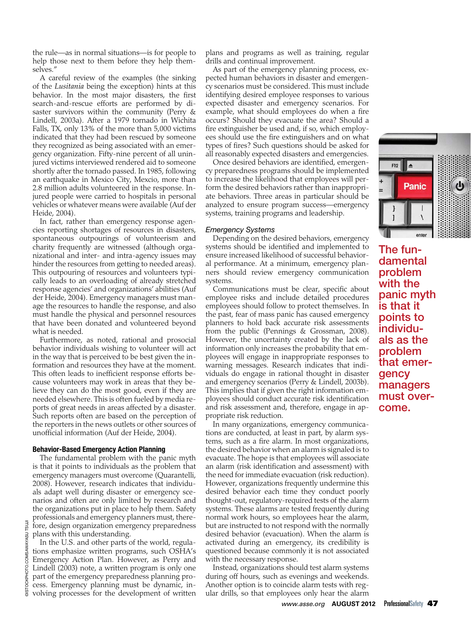the rule—as in normal situations—is for people to help those next to them before they help themselves."

A careful review of the examples (the sinking of the *Lusitania* being the exception) hints at this behavior. In the most major disasters, the first search-and-rescue efforts are performed by disaster survivors within the community (Perry & Lindell, 2003a). After a 1979 tornado in Wichita Falls, TX, only 13% of the more than 5,000 victims indicated that they had been rescued by someone they recognized as being associated with an emergency organization. Fifty-nine percent of all uninjured victims interviewed rendered aid to someone shortly after the tornado passed. In 1985, following an earthquake in Mexico City, Mexcio, more than 2.8 million adults volunteered in the response. Injured people were carried to hospitals in personal vehicles or whatever means were available (Auf der Heide, 2004).

In fact, rather than emergency response agencies reporting shortages of resources in disasters, spontaneous outpourings of volunteerism and charity frequently are witnessed (although organizational and inter- and intra-agency issues may hinder the resources from getting to needed areas). This outpouring of resources and volunteers typically leads to an overloading of already stretched response agencies' and organizations' abilities (Auf der Heide, 2004). Emergency managers must manage the resources to handle the response, and also must handle the physical and personnel resources that have been donated and volunteered beyond what is needed.

Furthermore, as noted, rational and prosocial behavior individuals wishing to volunteer will act in the way that is perceived to be best given the information and resources they have at the moment. This often leads to inefficient response efforts because volunteers may work in areas that they believe they can do the most good, even if they are needed elsewhere. This is often fueled by media reports of great needs in areas affected by a disaster. Such reports often are based on the perception of the reporters in the news outlets or other sources of unofficial information (Auf der Heide, 2004).

## Behavior-Based Emergency Action Planning

The fundamental problem with the panic myth is that it points to individuals as the problem that emergency managers must overcome (Quarantelli, 2008). However, research indicates that individuals adapt well during disaster or emergency scenarios and often are only limited by research and the organizations put in place to help them. Safety professionals and emergency planners must, therefore, design organization emergency preparedness plans with this understanding.

In the U.S. and other parts of the world, regulations emphasize written programs, such OSHA's Emergency Action Plan. However, as Perry and Lindell (2003) note, a written program is only one part of the emergency preparedness planning process. Emergency planning must be dynamic, involving processes for the development of written

plans and programs as well as training, regular drills and continual improvement.

As part of the emergency planning process, expected human behaviors in disaster and emergency scenarios must be considered. This must include identifying desired employee responses to various expected disaster and emergency scenarios. For example, what should employees do when a fire occurs? Should they evacuate the area? Should a fire extinguisher be used and, if so, which employees should use the fire extinguishers and on what types of fires? Such questions should be asked for all reasonably expected disasters and emergencies.

Once desired behaviors are identified, emergency preparedness programs should be implemented to increase the likelihood that employees will perform the desired behaviors rather than inappropriate behaviors. Three areas in particular should be analyzed to ensure program success—emergency systems, training programs and leadership.

## *Emergency Systems*

Depending on the desired behaviors, emergency systems should be identified and implemented to ensure increased likelihood of successful behavioral performance. At a minimum, emergency planners should review emergency communication systems.

Communications must be clear, specific about employee risks and include detailed procedures employees should follow to protect themselves. In the past, fear of mass panic has caused emergency planners to hold back accurate risk assessments from the public (Pennings & Grossman, 2008). However, the uncertainty created by the lack of information only increases the probability that employees will engage in inappropriate responses to warning messages. Research indicates that individuals do engage in rational thought in disaster and emergency scenarios (Perry & Lindell, 2003b). This implies that if given the right information employees should conduct accurate risk identification and risk assessment and, therefore, engage in appropriate risk reduction.

In many organizations, emergency communications are conducted, at least in part, by alarm systems, such as a fire alarm. In most organizations, the desired behavior when an alarm is signaled is to evacuate. The hope is that employees will associate an alarm (risk identification and assessment) with the need for immediate evacuation (risk reduction). However, organizations frequently undermine this desired behavior each time they conduct poorly thought-out, regulatory-required tests of the alarm systems. These alarms are tested frequently during normal work hours, so employees hear the alarm, but are instructed to not respond with the normally desired behavior (evacuation). When the alarm is activated during an emergency, its credibility is questioned because commonly it is not associated with the necessary response.

Instead, organizations should test alarm systems during off hours, such as evenings and weekends. Another option is to coincide alarm tests with regular drills, so that employees only hear the alarm



The fundamental problem with the panic myth is that it points to individuals as the problem that emergency managers must overcome.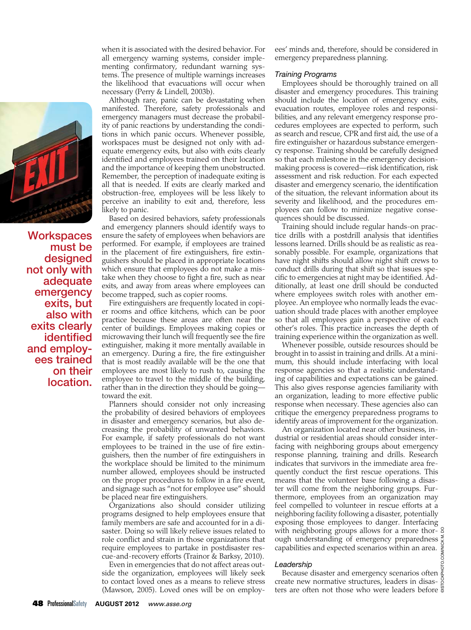

**Workspaces** must be designed not only with adequate emergency exits, but also with exits clearly identified and employ- ees trained on their location.

when it is associated with the desired behavior. For all emergency warning systems, consider implementing confirmatory, redundant warning systems. The presence of multiple warnings increases the likelihood that evacuations will occur when necessary (Perry & Lindell, 2003b).

Although rare, panic can be devastating when manifested. Therefore, safety professionals and emergency managers must decrease the probability of panic reactions by understanding the conditions in which panic occurs. Whenever possible, workspaces must be designed not only with adequate emergency exits, but also with exits clearly identified and employees trained on their location and the importance of keeping them unobstructed. Remember, the perception of inadequate exiting is all that is needed. If exits are clearly marked and obstruction-free, employees will be less likely to perceive an inability to exit and, therefore, less likely to panic.

Based on desired behaviors, safety professionals and emergency planners should identify ways to ensure the safety of employees when behaviors are performed. For example, if employees are trained in the placement of fire extinguishers, fire extinguishers should be placed in appropriate locations which ensure that employees do not make a mistake when they choose to fight a fire, such as near exits, and away from areas where employees can become trapped, such as copier rooms.

Fire extinguishers are frequently located in copier rooms and office kitchens, which can be poor practice because these areas are often near the center of buildings. Employees making copies or microwaving their lunch will frequently see the fire extinguisher, making it more mentally available in an emergency. During a fire, the fire extinguisher that is most readily available will be the one that employees are most likely to rush to, causing the employee to travel to the middle of the building, rather than in the direction they should be going toward the exit.

Planners should consider not only increasing the probability of desired behaviors of employees in disaster and emergency scenarios, but also decreasing the probability of unwanted behaviors. For example, if safety professionals do not want employees to be trained in the use of fire extinguishers, then the number of fire extinguishers in the workplace should be limited to the minimum number allowed, employees should be instructed on the proper procedures to follow in a fire event, and signage such as "not for employee use" should be placed near fire extinguishers.

Organizations also should consider utilizing programs designed to help employees ensure that family members are safe and accounted for in a disaster. Doing so will likely relieve issues related to role conflict and strain in those organizations that require employees to partake in postdisaster rescue-and-recovery efforts (Trainor & Barksy, 2010).

Even in emergencies that do not affect areas outside the organization, employees will likely seek to contact loved ones as a means to relieve stress (Mawson, 2005). Loved ones will be on employees' minds and, therefore, should be considered in emergency preparedness planning.

## *Training Programs*

Employees should be thoroughly trained on all disaster and emergency procedures. This training should include the location of emergency exits, evacuation routes, employee roles and responsibilities, and any relevant emergency response procedures employees are expected to perform, such as search and rescue, CPR and first aid, the use of a fire extinguisher or hazardous substance emergency response. Training should be carefully designed so that each milestone in the emergency decisionmaking process is covered—risk identification, risk assessment and risk reduction. For each expected disaster and emergency scenario, the identification of the situation, the relevant information about its severity and likelihood, and the procedures employees can follow to minimize negative consequences should be discussed.

Training should include regular hands-on practice drills with a postdrill analysis that identifies lessons learned. Drills should be as realistic as reasonably possible. For example, organizations that have night shifts should allow night shift crews to conduct drills during that shift so that issues specific to emergencies at night may be identified. Additionally, at least one drill should be conducted where employees switch roles with another employee. An employee who normally leads the evacuation should trade places with another employee so that all employees gain a perspective of each other's roles. This practice increases the depth of training experience within the organization as well.

Whenever possible, outside resources should be brought in to assist in training and drills. At a minimum, this should include interfacing with local response agencies so that a realistic understanding of capabilities and expectations can be gained. This also gives response agencies familiarity with an organization, leading to more effective public response when necessary. These agencies also can critique the emergency preparedness programs to identify areas of improvement for the organization.

An organization located near other business, industrial or residential areas should consider interfacing with neighboring groups about emergency response planning, training and drills. Research indicates that survivors in the immediate area frequently conduct the first rescue operations. This means that the volunteer base following a disaster will come from the neighboring groups. Furthermore, employees from an organization may feel compelled to volunteer in rescue efforts at a neighboring facility following a disaster, potentially exposing those employees to danger. Interfacing with neighboring groups allows for a more thor- 8 ough understanding of emergency preparedness capabilities and expected scenarios within an area.

# *Leadership*

Because disaster and emergency scenarios often create new normative structures, leaders in disasters are often not those who were leaders before  $\frac{\omega}{\omega}$